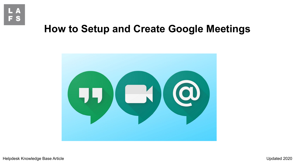

## **How to Setup and Create Google Meetings**



Helpdesk Knowledge Base Article Updated 2020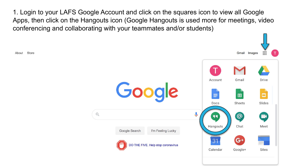1. Login to your LAFS Google Account and click on the squares icon to view all Google Apps, then click on the Hangouts icon (Google Hangouts is used more for meetings, video conferencing and collaborating with your teammates and/or students)

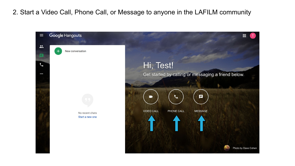## 2. Start a Video Call, Phone Call, or Message to anyone in the LAFILM community

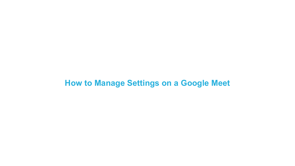## **How to Manage Settings on a Google Meet**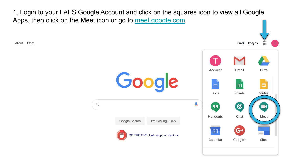1. Login to your LAFS Google Account and click on the squares icon to view all Google Apps, then click on the Meet icon or go to [meet.google.com](https://meet.google.com)

Store About

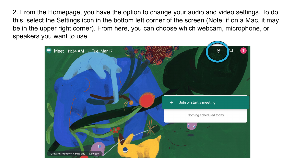2. From the Homepage, you have the option to change your audio and video settings. To do this, select the Settings icon in the bottom left corner of the screen (Note: if on a Mac, it may be in the upper right corner). From here, you can choose which webcam, microphone, or speakers you want to use.

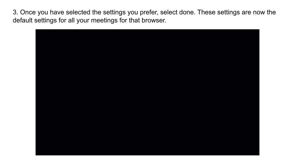3. Once you have selected the settings you prefer, select done. These settings are now the default settings for all your meetings for that browser.

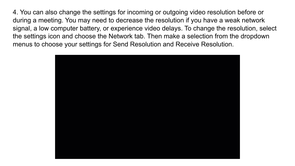4. You can also change the settings for incoming or outgoing video resolution before or during a meeting. You may need to decrease the resolution if you have a weak network signal, a low computer battery, or experience video delays. To change the resolution, select the settings icon and choose the Network tab. Then make a selection from the dropdown menus to choose your settings for Send Resolution and Receive Resolution.

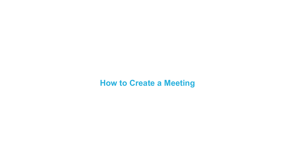## **How to Create a Meeting**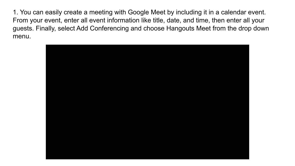1. You can easily create a meeting with Google Meet by including it in a calendar event. From your event, enter all event information like title, date, and time, then enter all your guests. Finally, select Add Conferencing and choose Hangouts Meet from the drop down menu.

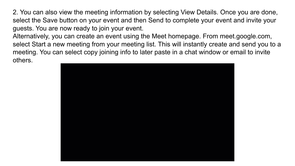2. You can also view the meeting information by selecting View Details. Once you are done, select the Save button on your event and then Send to complete your event and invite your guests. You are now ready to join your event.

Alternatively, you can create an event using the Meet homepage. From meet.google.com, select Start a new meeting from your meeting list. This will instantly create and send you to a meeting. You can select copy joining info to later paste in a chat window or email to invite others.